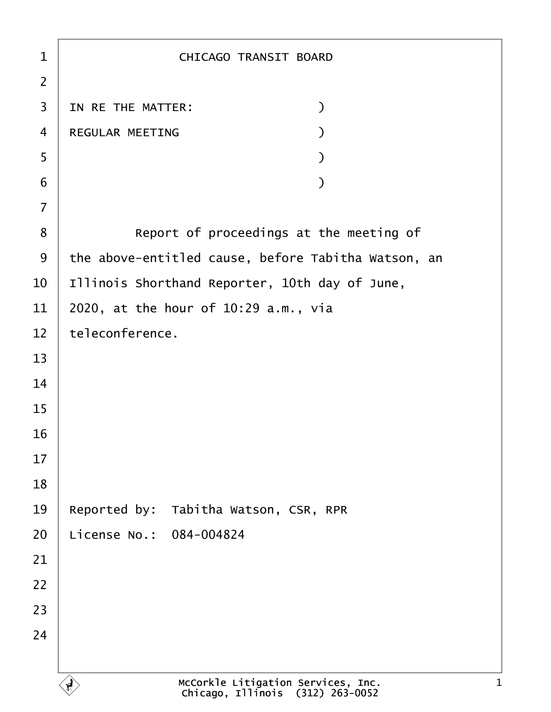| 1              | <b>CHICAGO TRANSIT BOARD</b>                        |
|----------------|-----------------------------------------------------|
| $\overline{2}$ |                                                     |
| 3              | IN RE THE MATTER:<br>$\mathcal{E}$                  |
| 4              | <b>REGULAR MEETING</b>                              |
| 5              |                                                     |
| 6              |                                                     |
| 7              |                                                     |
| 8              | Report of proceedings at the meeting of             |
| 9              | the above-entitled cause, before Tabitha Watson, an |
| 10             | Illinois Shorthand Reporter, 10th day of June,      |
| 11             | 2020, at the hour of 10:29 a.m., via                |
| 12             | teleconference.                                     |
| 13             |                                                     |
| 14             |                                                     |
| 15             |                                                     |
| 16             |                                                     |
| 17             |                                                     |
| 18             |                                                     |
| 19             | Reported by: Tabitha Watson, CSR, RPR               |
| 20             | License No.: 084-004824                             |
| 21             |                                                     |
| 22             |                                                     |
| 23             |                                                     |
| 24             |                                                     |
|                |                                                     |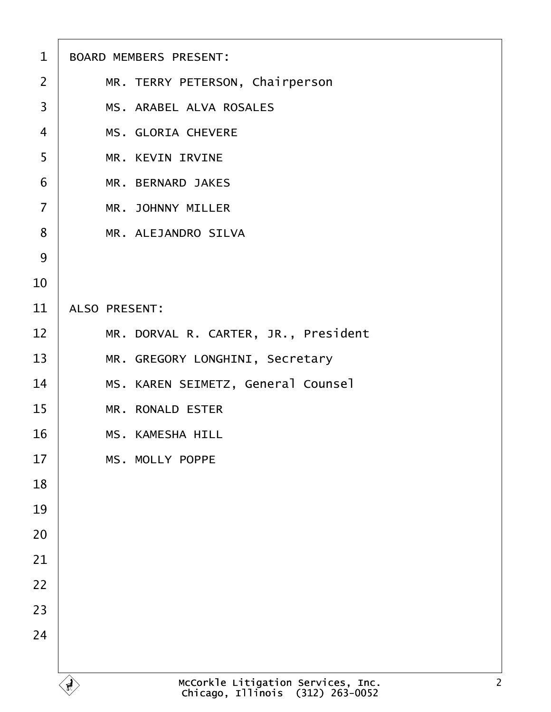| 1              | <b>BOARD MEMBERS PRESENT:</b>        |
|----------------|--------------------------------------|
| $\overline{2}$ | MR. TERRY PETERSON, Chairperson      |
| 3              | <b>MS. ARABEL ALVA ROSALES</b>       |
| $\overline{4}$ | <b>MS. GLORIA CHEVERE</b>            |
| 5              | <b>MR. KEVIN IRVINE</b>              |
| 6              | <b>MR. BERNARD JAKES</b>             |
| $\overline{7}$ | <b>MR. JOHNNY MILLER</b>             |
| 8              | <b>MR. ALEJANDRO SILVA</b>           |
| 9              |                                      |
| 10             |                                      |
| 11             | <b>ALSO PRESENT:</b>                 |
| 12             | MR. DORVAL R. CARTER, JR., President |
| 13             | MR. GREGORY LONGHINI, Secretary      |
| 14             | MS. KAREN SEIMETZ, General Counsel   |
| 15             | <b>MR. RONALD ESTER</b>              |
| 16             | <b>MS. KAMESHA HILL</b>              |
| 17             | <b>MS. MOLLY POPPE</b>               |
| 18             |                                      |
| 19             |                                      |
| 20             |                                      |
| 21             |                                      |
| 22             |                                      |
| 23             |                                      |
| 24             |                                      |
|                |                                      |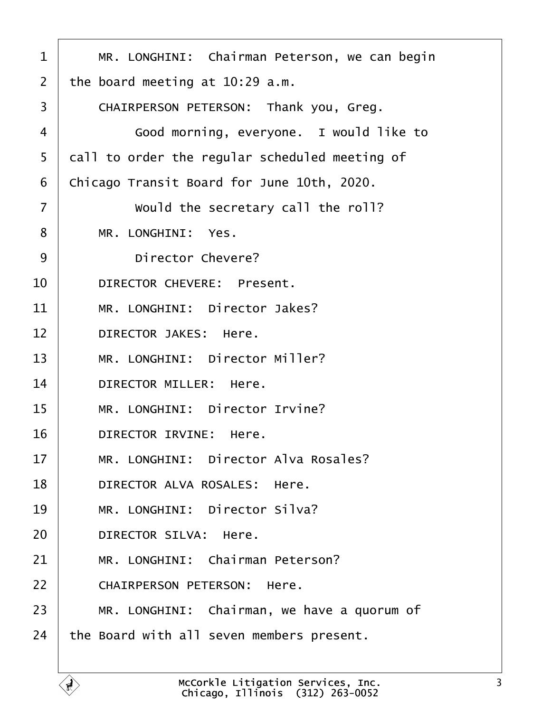<span id="page-2-0"></span>

| 1  | MR. LONGHINI: Chairman Peterson, we can begin  |
|----|------------------------------------------------|
| 2  | the board meeting at 10:29 a.m.                |
| 3  | CHAIRPERSON PETERSON: Thank you, Greg.         |
| 4  | Good morning, everyone. I would like to        |
| 5  | dall to order the regular scheduled meeting of |
| 6  | Chicago Transit Board for June 10th, 2020.     |
| 7  | Would the secretary call the roll?             |
| 8  | MR. LONGHINI: Yes.                             |
| 9  | <b>Director Chevere?</b>                       |
| 10 | <b>DIRECTOR CHEVERE: Present.</b>              |
| 11 | MR. LONGHINI: Director Jakes?                  |
| 12 | <b>DIRECTOR JAKES: Here.</b>                   |
| 13 | MR. LONGHINI: Director Miller?                 |
| 14 | <b>DIRECTOR MILLER: Here.</b>                  |
| 15 | MR. LONGHINI: Director Irvine?                 |
| 16 | <b>DIRECTOR IRVINE: Here.</b>                  |
| 17 | MR. LONGHINI: Director Alva Rosales?           |
| 18 | DIRECTOR ALVA ROSALES: Here.                   |
| 19 | MR. LONGHINI: Director Silva?                  |
| 20 | <b>DIRECTOR SILVA: Here.</b>                   |
| 21 | MR. LONGHINI: Chairman Peterson?               |
| 22 | <b>CHAIRPERSON PETERSON: Here.</b>             |
| 23 | MR. LONGHINI: Chairman, we have a quorum of    |
| 24 | the Board with all seven members present.      |
|    |                                                |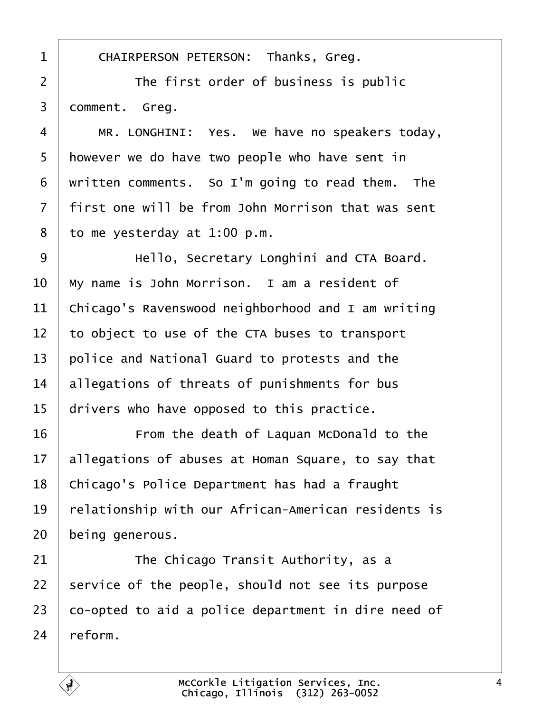<span id="page-3-0"></span>

| 1              | CHAIRPERSON PETERSON: Thanks, Greg.                 |
|----------------|-----------------------------------------------------|
| $\overline{2}$ | The first order of business is public               |
| 3              | domment. Greg.                                      |
| 4              | MR. LONGHINI: Yes. We have no speakers today,       |
| 5              | however we do have two people who have sent in      |
| 6              | written comments. So I'm going to read them. The    |
| 7              | first one will be from John Morrison that was sent  |
| 8              | to me yesterday at 1:00 p.m.                        |
| 9              | Hello, Secretary Longhini and CTA Board.            |
| 10             | My name is John Morrison. I am a resident of        |
| 11             | Chicago's Ravenswood neighborhood and I am writing  |
| 12             | to object to use of the CTA buses to transport      |
| 13             | police and National Guard to protests and the       |
| 14             | allegations of threats of punishments for bus       |
| 15             | drivers who have opposed to this practice.          |
| 16             | From the death of Laquan McDonald to the            |
| 17             | allegations of abuses at Homan Square, to say that  |
| 18             | Chicago's Police Department has had a fraught       |
| 19             | elationship with our African-American residents is  |
| 20             | being generous.                                     |
| 21             | The Chicago Transit Authority, as a                 |
| 22             | service of the people, should not see its purpose   |
| 23             | co-opted to aid a police department in dire need of |
| 24             | reform.                                             |
|                |                                                     |

Г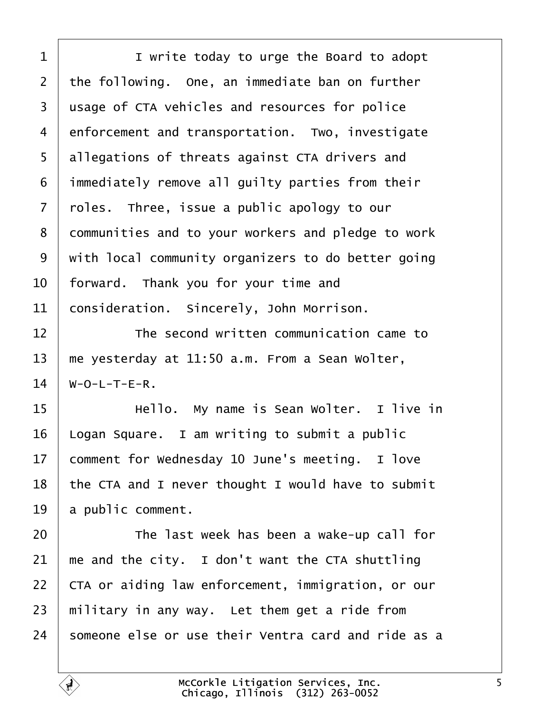<span id="page-4-0"></span>

| 1              | I write today to urge the Board to adopt            |
|----------------|-----------------------------------------------------|
| $\overline{2}$ | the following. One, an immediate ban on further     |
| 3              | usage of CTA vehicles and resources for police      |
| 4              | enforcement and transportation. Two, investigate    |
| 5              | allegations of threats against CTA drivers and      |
| 6              | immediately remove all guilty parties from their    |
| 7              | rbles. Three, issue a public apology to our         |
| 8              | dommunities and to your workers and pledge to work  |
| 9              | with local community organizers to do better going  |
| 10             | forward. Thank you for your time and                |
| 11             | consideration. Sincerely, John Morrison.            |
| 12             | The second written communication came to            |
| 13             | me yesterday at 11:50 a.m. From a Sean Wolter,      |
| 14             | W-O-L-T-E-R.                                        |
| 15             | Hello. My name is Sean Wolter. I live in            |
| 16             | ogan Square. I am writing to submit a public        |
| 17             | comment for Wednesday 10 June's meeting. I love     |
| 18             | the CTA and I never thought I would have to submit  |
| 19             | a public comment.                                   |
| 20             | The last week has been a wake-up call for           |
| 21             | me and the city. I don't want the CTA shuttling     |
| 22             | CTA or aiding law enforcement, immigration, or our  |
| 23             | military in any way. Let them get a ride from       |
| 24             | someone else or use their Ventra card and ride as a |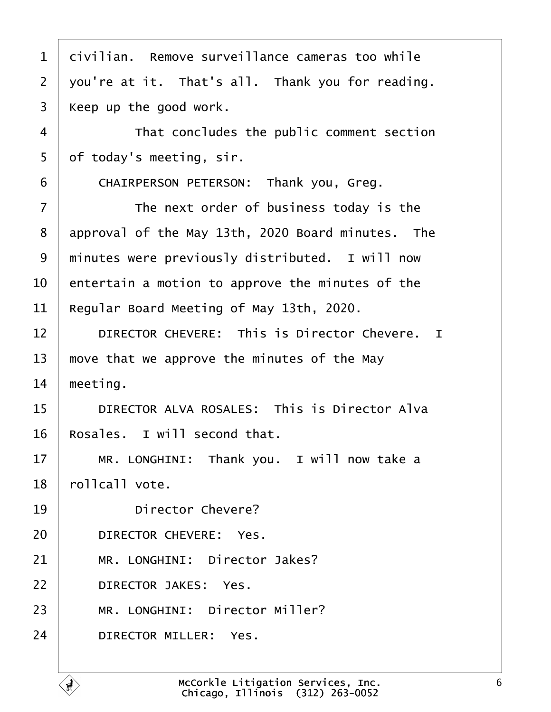<span id="page-5-0"></span>

| 1              | divilian. Remove surveillance cameras too while      |
|----------------|------------------------------------------------------|
| $\overline{2}$ | you're at it. That's all. Thank you for reading.     |
| 3              | Keep up the good work.                               |
| 4              | That concludes the public comment section            |
| 5              | of today's meeting, sir.                             |
| 6              | CHAIRPERSON PETERSON: Thank you, Greg.               |
| $\overline{7}$ | The next order of business today is the              |
| 8              | approval of the May 13th, 2020 Board minutes. The    |
| 9              | minutes were previously distributed. I will now      |
| 10             | entertain a motion to approve the minutes of the     |
| 11             | Regular Board Meeting of May 13th, 2020.             |
| 12             | <b>DIRECTOR CHEVERE: This is Director Chevere. I</b> |
| 13             | move that we approve the minutes of the May          |
| 14             | meeting.                                             |
| 15             | DIRECTOR ALVA ROSALES: This is Director Alva         |
| 16             | Rosales. I will second that.                         |
| 17             | MR. LONGHINI: Thank you. I will now take a           |
| 18             | rollcall vote.                                       |
| 19             | Director Chevere?                                    |
| 20             | DIRECTOR CHEVERE: Yes.                               |
| 21             | MR. LONGHINI: Director Jakes?                        |
| 22             | <b>DIRECTOR JAKES: Yes.</b>                          |
| 23             | MR. LONGHINI: Director Miller?                       |
| 24             | DIRECTOR MILLER: Yes.                                |
|                |                                                      |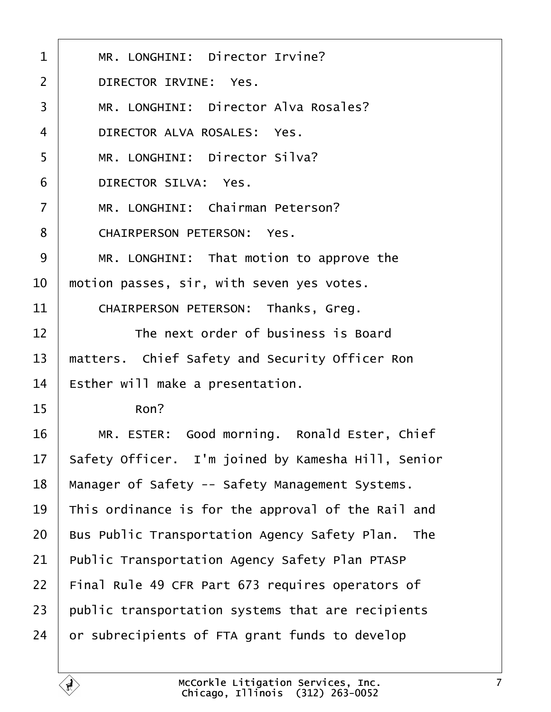<span id="page-6-0"></span>

| 1              | MR. LONGHINI: Director Irvine?                        |
|----------------|-------------------------------------------------------|
| $\overline{2}$ | <b>DIRECTOR IRVINE: Yes.</b>                          |
| 3              | MR. LONGHINI: Director Alva Rosales?                  |
| 4              | DIRECTOR ALVA ROSALES: Yes.                           |
| 5              | MR. LONGHINI: Director Silva?                         |
| 6              | <b>DIRECTOR SILVA: Yes.</b>                           |
| $\overline{7}$ | MR. LONGHINI: Chairman Peterson?                      |
| 8              | <b>CHAIRPERSON PETERSON: Yes.</b>                     |
| 9              | MR. LONGHINI: That motion to approve the              |
| 10             | motion passes, sir, with seven yes votes.             |
| 11             | CHAIRPERSON PETERSON: Thanks, Greg.                   |
| 12             | The next order of business is Board                   |
| 13             | matters. Chief Safety and Security Officer Ron        |
| 14             | Esther will make a presentation.                      |
| 15             | Ron?                                                  |
| 16             | MR. ESTER: Good morning. Ronald Ester, Chief          |
| 17             | Safety Officer. I'm joined by Kamesha Hill, Senior    |
| 18             | Manager of Safety -- Safety Management Systems.       |
| 19             | This ordinance is for the approval of the Rail and    |
| 20             | Bus Public Transportation Agency Safety Plan. The     |
| 21             | <b>Public Transportation Agency Safety Plan PTASP</b> |
| 22             | Final Rule 49 CFR Part 673 requires operators of      |
| 23             | public transportation systems that are recipients     |
| 24             | or subrecipients of FTA grant funds to develop        |
|                |                                                       |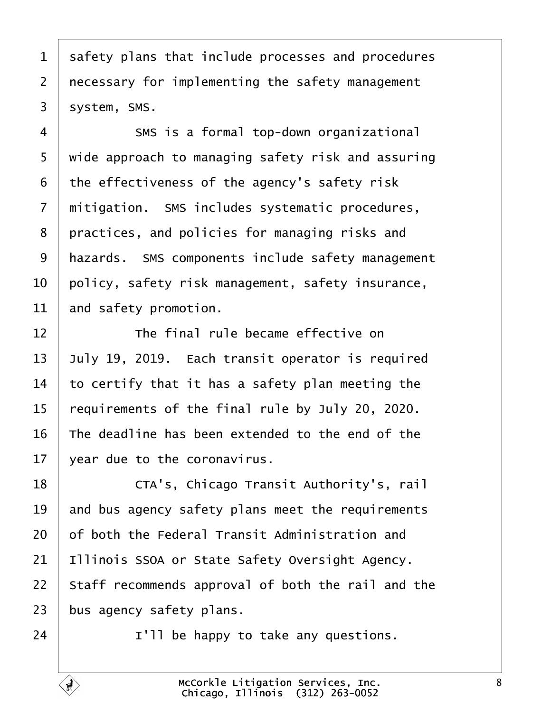<span id="page-7-0"></span>

|  |  |  |  |  |  | 1 safety plans that include processes and procedures |
|--|--|--|--|--|--|------------------------------------------------------|
|--|--|--|--|--|--|------------------------------------------------------|

- 2 recessary for implementing the safety management
- 3 system, SMS.
- 4 **8MS** is a formal top-down organizational
- 5 wide approach to managing safety risk and assuring
- 6 the effectiveness of the agency's safety risk
- 7 mitigation. SMS includes systematic procedures,
- 8 practices, and policies for managing risks and
- 9 hazards. SMS components include safety management
- 10 bolicy, safety risk management, safety insurance,
- 11 and safety promotion.
- 12 **The final rule became effective on**
- 13  $\mu$ uly 19, 2019. Each transit operator is required
- 14 to certify that it has a safety plan meeting the
- 15 requirements of the final rule by July 20, 2020.
- 16 The deadline has been extended to the end of the
- 17  $\sqrt{2}$  vear due to the coronavirus.
- 18 **CTA's, Chicago Transit Authority's, rail**
- 19 and bus agency safety plans meet the requirements
- 20 b f both the Federal Transit Administration and
- 21 Illinois SSOA or State Safety Oversight Agency.
- 22 Staff recommends approval of both the rail and the
- 23 bus agency safety plans.
- $24$  | I'll be happy to take any questions.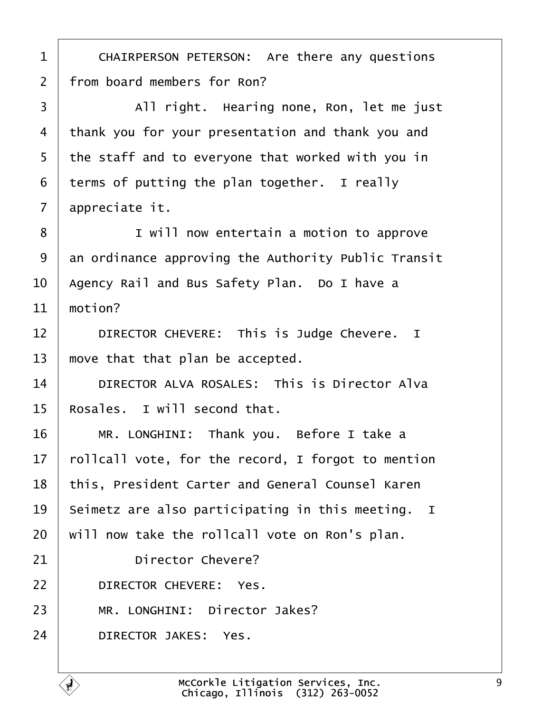<span id="page-8-0"></span>

| 1  | CHAIRPERSON PETERSON: Are there any questions       |
|----|-----------------------------------------------------|
| 2  | from board members for Ron?                         |
| 3  | All right. Hearing none, Ron, let me just           |
| 4  | thank you for your presentation and thank you and   |
| 5  | the staff and to everyone that worked with you in   |
| 6  | terms of putting the plan together. I really        |
| 7  | appreciate it.                                      |
| 8  | I will now entertain a motion to approve            |
| 9  | an ordinance approving the Authority Public Transit |
| 10 | Agency Rail and Bus Safety Plan. Do I have a        |
| 11 | motion?                                             |
| 12 | DIRECTOR CHEVERE: This is Judge Chevere. I          |
| 13 | move that that plan be accepted.                    |
| 14 | DIRECTOR ALVA ROSALES: This is Director Alva        |
| 15 | Rosales. I will second that.                        |
| 16 | MR. LONGHINI: Thank you. Before I take a            |
| 17 | follcall vote, for the record, I forgot to mention  |
| 18 | this, President Carter and General Counsel Karen    |
| 19 | Seimetz are also participating in this meeting. I   |
| 20 | will now take the rollcall vote on Ron's plan.      |
| 21 | <b>Director Chevere?</b>                            |
| 22 | DIRECTOR CHEVERE: Yes.                              |
| 23 | MR. LONGHINI: Director Jakes?                       |
| 24 | <b>DIRECTOR JAKES: Yes.</b>                         |
|    |                                                     |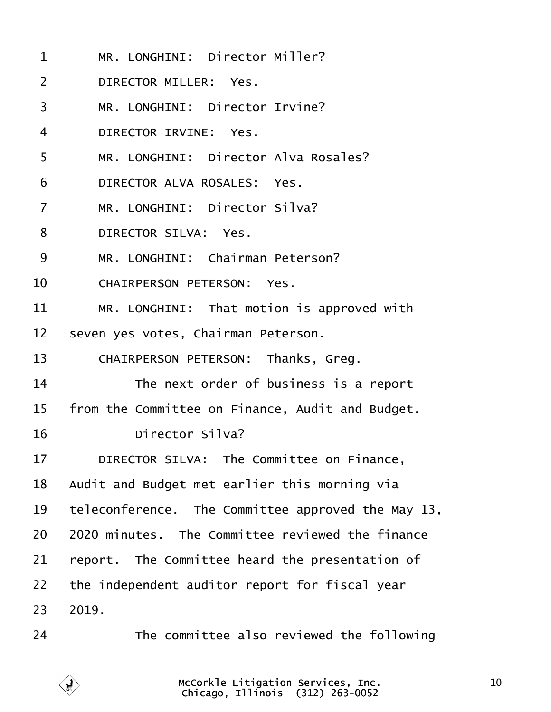<span id="page-9-0"></span>

| $\mathbf 1$    | MR. LONGHINI: Director Miller?                     |
|----------------|----------------------------------------------------|
| 2              | <b>DIRECTOR MILLER: Yes.</b>                       |
| 3              | MR. LONGHINI: Director Irvine?                     |
| 4              | DIRECTOR IRVINE: Yes.                              |
| 5              | MR. LONGHINI: Director Alva Rosales?               |
| 6              | DIRECTOR ALVA ROSALES: Yes.                        |
| $\overline{7}$ | MR. LONGHINI: Director Silva?                      |
| 8              | <b>DIRECTOR SILVA: Yes.</b>                        |
| 9              | MR. LONGHINI: Chairman Peterson?                   |
| 10             | <b>CHAIRPERSON PETERSON: Yes.</b>                  |
| 11             | MR. LONGHINI: That motion is approved with         |
| 12             | seven yes votes, Chairman Peterson.                |
| 13             | CHAIRPERSON PETERSON: Thanks, Greg.                |
| 14             | The next order of business is a report             |
| 15             | from the Committee on Finance, Audit and Budget.   |
| 16             | <b>Director Silva?</b>                             |
| 17             | DIRECTOR SILVA: The Committee on Finance,          |
| 18             | Audit and Budget met earlier this morning via      |
| 19             | teleconference. The Committee approved the May 13, |
| 20             | 2020 minutes. The Committee reviewed the finance   |
| 21             | report. The Committee heard the presentation of    |
| 22             | the independent auditor report for fiscal year     |
| 23             | 2019.                                              |
| 24             | The committee also reviewed the following          |
|                |                                                    |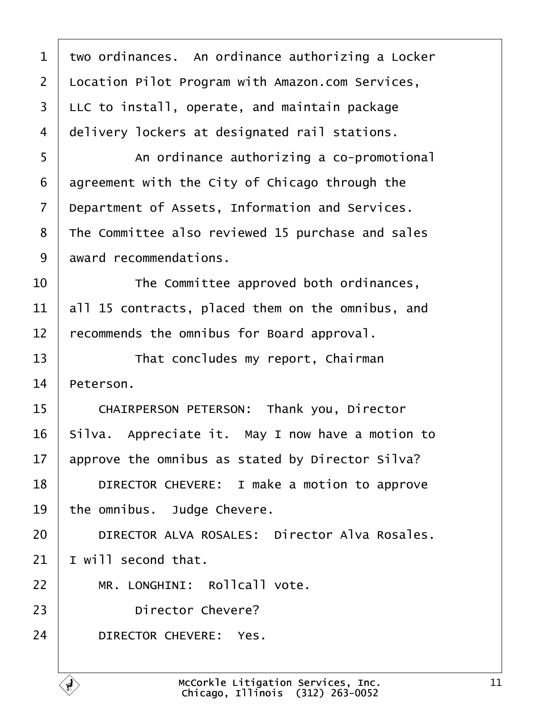<span id="page-10-0"></span>

| 1              | two ordinances. An ordinance authorizing a Locker |
|----------------|---------------------------------------------------|
| $\overline{2}$ | Location Pilot Program with Amazon.com Services,  |
| 3              | LLC to install, operate, and maintain package     |
| 4              | delivery lockers at designated rail stations.     |
| 5              | An ordinance authorizing a co-promotional         |
| 6              | agreement with the City of Chicago through the    |
| 7              | Department of Assets, Information and Services.   |
| 8              | The Committee also reviewed 15 purchase and sales |
| 9              | award recommendations.                            |
| 10             | The Committee approved both ordinances,           |
| 11             | all 15 contracts, placed them on the omnibus, and |
| 12             | ecommends the omnibus for Board approval.         |
| 13             | That concludes my report, Chairman                |
| 14             | Peterson.                                         |
| 15             | CHAIRPERSON PETERSON: Thank you, Director         |
| 16             | Silva. Appreciate it. May I now have a motion to  |
| 17             | approve the omnibus as stated by Director Silva?  |
| 18             | DIRECTOR CHEVERE: I make a motion to approve      |
| 19             | the omnibus. Judge Chevere.                       |
| 20             | DIRECTOR ALVA ROSALES: Director Alva Rosales.     |
| 21             | will second that.                                 |
| 22             | MR. LONGHINI: Rollcall vote.                      |
| 23             | <b>Director Chevere?</b>                          |
| 24             | DIRECTOR CHEVERE: Yes.                            |
|                |                                                   |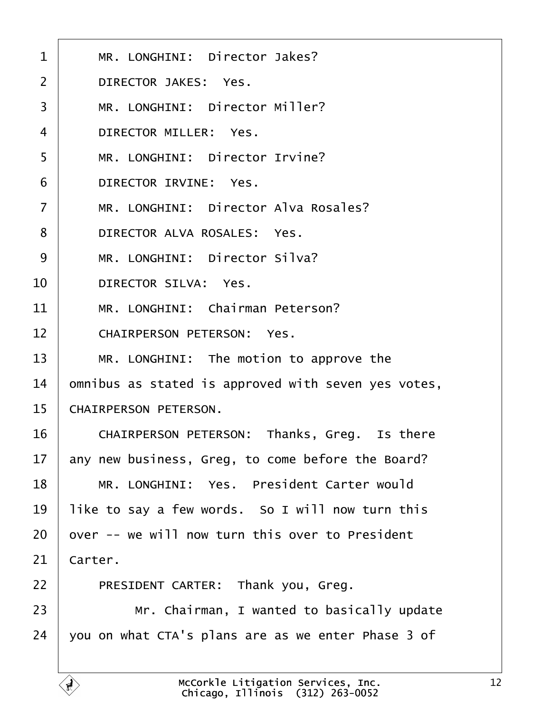<span id="page-11-0"></span>

| 1               | MR. LONGHINI: Director Jakes?                       |
|-----------------|-----------------------------------------------------|
| 2               | <b>DIRECTOR JAKES: Yes.</b>                         |
| 3               | MR. LONGHINI: Director Miller?                      |
| 4               | <b>DIRECTOR MILLER: Yes.</b>                        |
| 5               | MR. LONGHINI: Director Irvine?                      |
| 6               | DIRECTOR IRVINE: Yes.                               |
| $\overline{7}$  | MR. LONGHINI: Director Alva Rosales?                |
| 8               | DIRECTOR ALVA ROSALES: Yes.                         |
| 9               | MR. LONGHINI: Director Silva?                       |
| 10              | <b>DIRECTOR SILVA: Yes.</b>                         |
| 11              | MR. LONGHINI: Chairman Peterson?                    |
| 12 <sup>2</sup> | <b>CHAIRPERSON PETERSON: Yes.</b>                   |
| 13              | MR. LONGHINI: The motion to approve the             |
| 14              | omnibus as stated is approved with seven yes votes, |
| 15              | <b>CHAIRPERSON PETERSON.</b>                        |
| 16              | CHAIRPERSON PETERSON: Thanks, Greg. Is there        |
| 17              | any new business, Greg, to come before the Board?   |
| 18              | MR. LONGHINI: Yes. President Carter would           |
| 19              | like to say a few words. So I will now turn this    |
| 20              | over -- we will now turn this over to President     |
| 21              | Carter.                                             |
| 22              | PRESIDENT CARTER: Thank you, Greg.                  |
| 23              | Mr. Chairman, I wanted to basically update          |
| 24              | you on what CTA's plans are as we enter Phase 3 of  |
|                 |                                                     |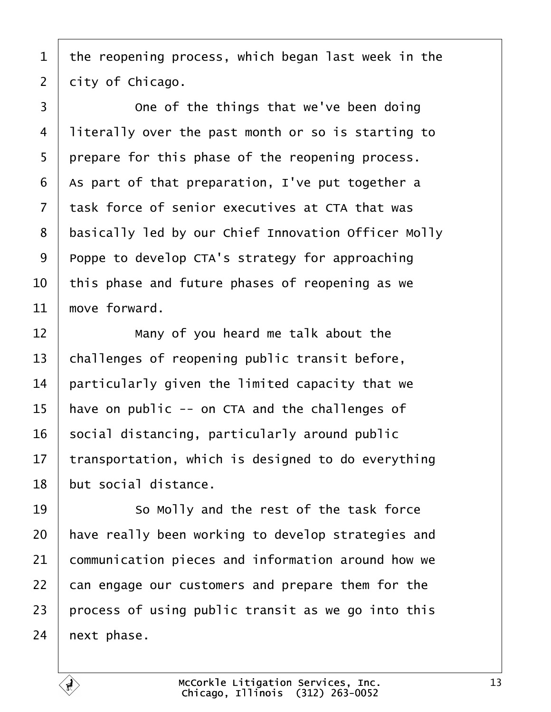<span id="page-12-0"></span>1 the reopening process, which began last week in the

2 dity of Chicago.

3 **Come of the things that we've been doing** 4 literally over the past month or so is starting to 5 prepare for this phase of the reopening process. 6 As part of that preparation, I've put together a 7 task force of senior executives at CTA that was 8 basically led by our Chief Innovation Officer Molly 9 Proppe to develop CTA's strategy for approaching 10 this phase and future phases of reopening as we 11 move forward.  $12$  **Many of you heard me talk about the** 13 challenges of reopening public transit before, 14 **particularly given the limited capacity that we** 15 have on public -- on CTA and the challenges of 16 social distancing, particularly around public 17 transportation, which is designed to do everything 18 but social distance. 19 **So Molly and the rest of the task force** 20 have really been working to develop strategies and 21 communication pieces and information around how we 22 can engage our customers and prepare them for the 23 process of using public transit as we go into this 24 hext phase.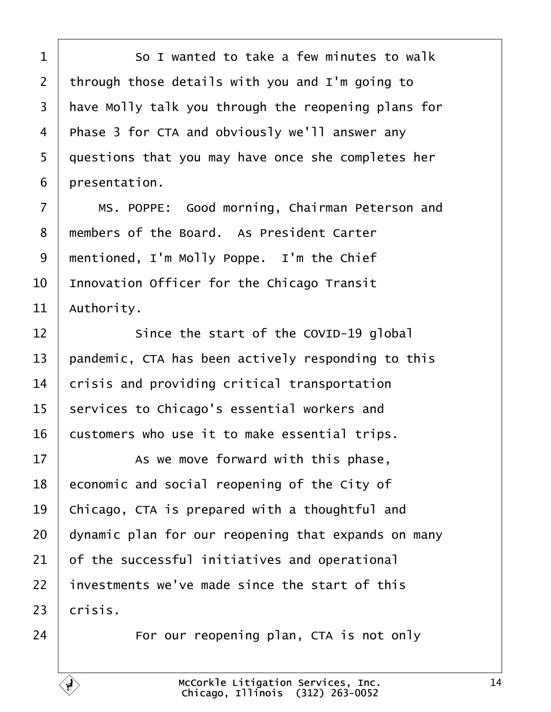<span id="page-13-0"></span>

| 1  | So I wanted to take a few minutes to walk           |
|----|-----------------------------------------------------|
| 2  | through those details with you and I'm going to     |
| 3  | have Molly talk you through the reopening plans for |
| 4  | Phase 3 for CTA and obviously we'll answer any      |
| 5  | questions that you may have once she completes her  |
| 6  | presentation.                                       |
| 7  | MS. POPPE: Good morning, Chairman Peterson and      |
| 8  | members of the Board. As President Carter           |
| 9  | mentioned, I'm Molly Poppe. I'm the Chief           |
| 10 | Innovation Officer for the Chicago Transit          |
| 11 | Authority.                                          |
| 12 | Since the start of the COVID-19 global              |
| 13 | pandemic, CTA has been actively responding to this  |
| 14 | crisis and providing critical transportation        |
| 15 | services to Chicago's essential workers and         |
| 16 | customers who use it to make essential trips.       |
| 17 | As we move forward with this phase,                 |
| 18 | economic and social reopening of the City of        |
| 19 | Chicago, CTA is prepared with a thoughtful and      |
| 20 | dynamic plan for our reopening that expands on many |
| 21 | of the successful initiatives and operational       |
| 22 | investments we've made since the start of this      |
| 23 | crisis.                                             |
| 24 | For our reopening plan, CTA is not only             |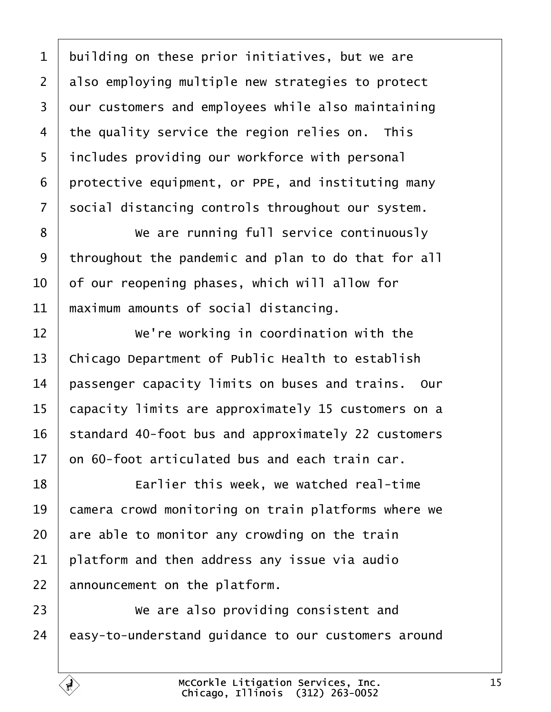<span id="page-14-0"></span>

| 1  | building on these prior initiatives, but we are     |
|----|-----------------------------------------------------|
| 2  | also employing multiple new strategies to protect   |
| 3  | dur customers and employees while also maintaining  |
| 4  | the quality service the region relies on. This      |
| 5  | includes providing our workforce with personal      |
| 6  | protective equipment, or PPE, and instituting many  |
| 7  | social distancing controls throughout our system.   |
| 8  | We are running full service continuously            |
| 9  | throughout the pandemic and plan to do that for all |
| 10 | of our reopening phases, which will allow for       |
| 11 | maximum amounts of social distancing.               |
| 12 | We're working in coordination with the              |
| 13 | Chicago Department of Public Health to establish    |
| 14 | passenger capacity limits on buses and trains. Our  |
| 15 | capacity limits are approximately 15 customers on a |
| 16 | standard 40-foot bus and approximately 22 customers |
| 17 | on 60-foot articulated bus and each train car.      |
| 18 | Earlier this week, we watched real-time             |
| 19 | camera crowd monitoring on train platforms where we |
| 20 | are able to monitor any crowding on the train       |
| 21 | platform and then address any issue via audio       |
| 22 | announcement on the platform.                       |
| 23 | We are also providing consistent and                |
| 24 | easy-to-understand guidance to our customers around |
|    |                                                     |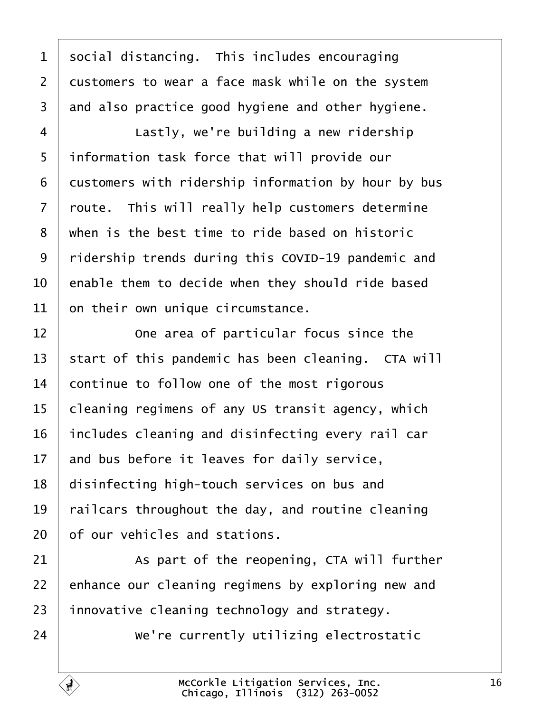<span id="page-15-0"></span>

| 1  | social distancing. This includes encouraging        |
|----|-----------------------------------------------------|
| 2  | dustomers to wear a face mask while on the system   |
| 3  | and also practice good hygiene and other hygiene.   |
| 4  | Lastly, we're building a new ridership              |
| 5  | information task force that will provide our        |
| 6  | dustomers with ridership information by hour by bus |
| 7  | route. This will really help customers determine    |
| 8  | when is the best time to ride based on historic     |
| 9  | ridership trends during this COVID-19 pandemic and  |
| 10 | enable them to decide when they should ride based   |
| 11 | on their own unique circumstance.                   |
| 12 | One area of particular focus since the              |
| 13 | start of this pandemic has been cleaning. CTA will  |
| 14 | continue to follow one of the most rigorous         |
| 15 | cleaning regimens of any US transit agency, which   |
| 16 | includes cleaning and disinfecting every rail car   |
|    | 17 and bus before it leaves for daily service,      |
| 18 | disinfecting high-touch services on bus and         |
| 19 | railcars throughout the day, and routine cleaning   |
| 20 | of our vehicles and stations.                       |
| 21 | As part of the reopening, CTA will further          |
| 22 | enhance our cleaning regimens by exploring new and  |
| 23 | innovative cleaning technology and strategy.        |
| 24 | We're currently utilizing electrostatic             |
|    |                                                     |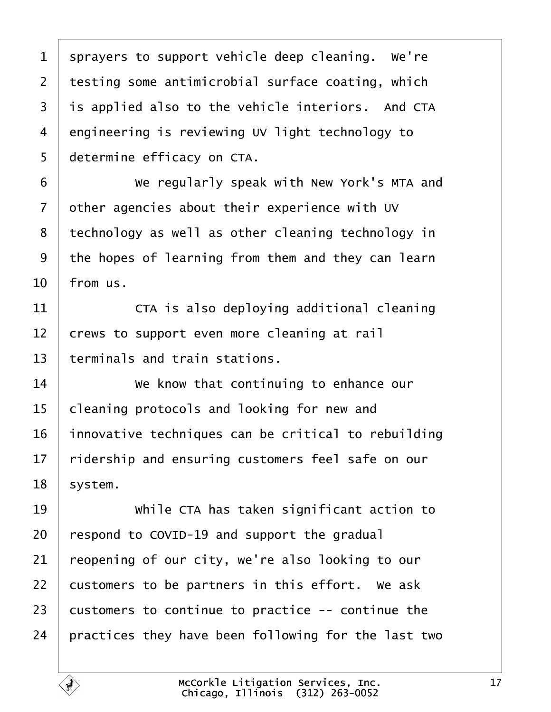<span id="page-16-0"></span>

| 1  | sprayers to support vehicle deep cleaning. We're    |
|----|-----------------------------------------------------|
| 2  | testing some antimicrobial surface coating, which   |
| 3  | is applied also to the vehicle interiors. And CTA   |
| 4  | engineering is reviewing UV light technology to     |
| 5  | determine efficacy on CTA.                          |
| 6  | We regularly speak with New York's MTA and          |
| 7  | other agencies about their experience with UV       |
| 8  | technology as well as other cleaning technology in  |
| 9  | the hopes of learning from them and they can learn  |
| 10 | from us.                                            |
| 11 | CTA is also deploying additional cleaning           |
| 12 | crews to support even more cleaning at rail         |
| 13 | terminals and train stations.                       |
| 14 | We know that continuing to enhance our              |
| 15 | cleaning protocols and looking for new and          |
| 16 | innovative techniques can be critical to rebuilding |
| 17 | ridership and ensuring customers feel safe on our   |
| 18 | system.                                             |
| 19 | While CTA has taken significant action to           |
| 20 | respond to COVID-19 and support the gradual         |
| 21 | reopening of our city, we're also looking to our    |
| 22 | customers to be partners in this effort. We ask     |
| 23 | customers to continue to practice -- continue the   |
| 24 | practices they have been following for the last two |
|    |                                                     |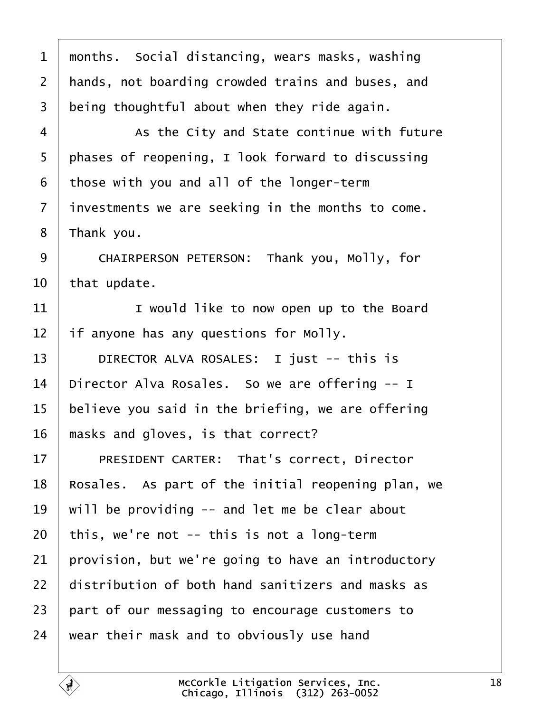<span id="page-17-0"></span>

| 1  | months. Social distancing, wears masks, washing    |
|----|----------------------------------------------------|
| 2  | hands, not boarding crowded trains and buses, and  |
| 3  | being thoughtful about when they ride again.       |
| 4  | As the City and State continue with future         |
| 5  | phases of reopening, I look forward to discussing  |
| 6  | those with you and all of the longer-term          |
| 7  | investments we are seeking in the months to come.  |
| 8  | Thank you.                                         |
| 9  | CHAIRPERSON PETERSON: Thank you, Molly, for        |
| 10 | that update.                                       |
| 11 | I would like to now open up to the Board           |
| 12 | If anyone has any questions for Molly.             |
| 13 | DIRECTOR ALVA ROSALES: I just -- this is           |
| 14 | Director Alva Rosales. So we are offering -- I     |
| 15 | believe you said in the briefing, we are offering  |
| 16 | masks and gloves, is that correct?                 |
| 17 | <b>PRESIDENT CARTER: That's correct, Director</b>  |
| 18 | Rosales. As part of the initial reopening plan, we |
| 19 | will be providing -- and let me be clear about     |
| 20 | this, we're not -- this is not a long-term         |
| 21 | provision, but we're going to have an introductory |
| 22 | distribution of both hand sanitizers and masks as  |
| 23 | part of our messaging to encourage customers to    |
| 24 | wear their mask and to obviously use hand          |
|    |                                                    |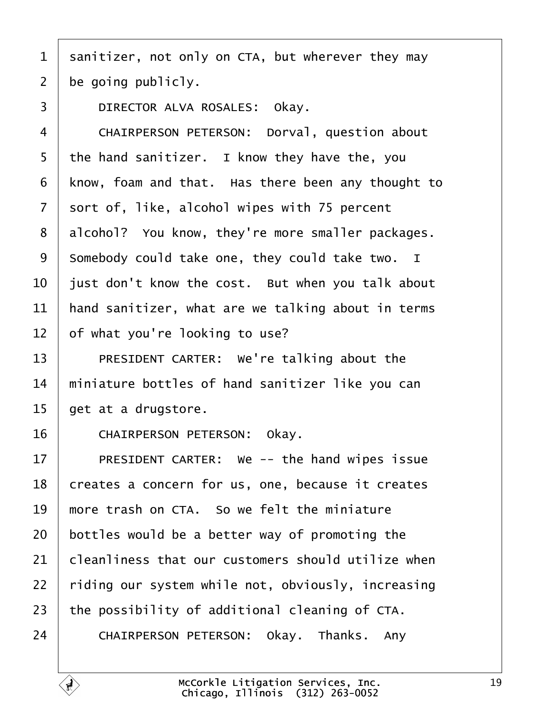- <span id="page-18-0"></span>1 sanitizer, not only on CTA, but wherever they may
- 2 be going publicly.
- 3 | DIRECTOR ALVA ROSALES: Okay.
- 4 | CHAIRPERSON PETERSON: Dorval, question about
- 5 the hand sanitizer. I know they have the, you
- 6 know, foam and that. Has there been any thought to
- 7 sort of, like, alcohol wipes with 75 percent
- 8 alcohol? You know, they're more smaller packages.
- 9 Somebody could take one, they could take two. I
- 10 just don't know the cost. But when you talk about
- 11 hand sanitizer, what are we talking about in terms
- 12 b f what you're looking to use?
- 13 | PRESIDENT CARTER: We're talking about the
- 14 miniature bottles of hand sanitizer like you can
- 15 get at a drugstore.
- 16 | CHAIRPERSON PETERSON: Okay.
- 17 | PRESIDENT CARTER: We -- the hand wipes issue
- 18 creates a concern for us, one, because it creates
- 19 more trash on CTA. So we felt the miniature
- 20 bottles would be a better way of promoting the
- 21 **Cleanliness that our customers should utilize when**
- 22 riding our system while not, obviously, increasing
- 23 the possibility of additional cleaning of CTA.
- 24 | CHAIRPERSON PETERSON: Okay. Thanks. Any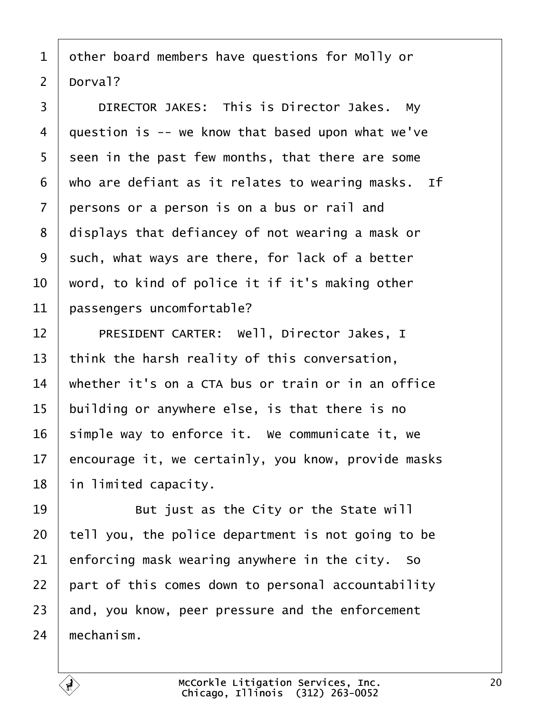- <span id="page-19-0"></span>1 dther board members have questions for Molly or
- 2 Dorval?

3 | DIRECTOR JAKES: This is Director Jakes. My 4 duestion is -- we know that based upon what we've 5 seen in the past few months, that there are some 6 who are defiant as it relates to wearing masks. If 7 persons or a person is on a bus or rail and 8 displays that defiancey of not wearing a mask or 9 such, what ways are there, for lack of a better 10 word, to kind of police it if it's making other 11 **bassengers uncomfortable?** 12 | PRESIDENT CARTER: Well, Director Jakes, I 13 think the harsh reality of this conversation, 14 whether it's on a CTA bus or train or in an office 15 building or anywhere else, is that there is no 16 simple way to enforce it. We communicate it, we 17 encourage it, we certainly, you know, provide masks 18 in limited capacity.  $19$   $\parallel$  But just as the City or the State will 20 tell you, the police department is not going to be 21  $\epsilon$  enforcing mask wearing anywhere in the city. So 22 part of this comes down to personal accountability 23 and, you know, peer pressure and the enforcement 24 mechanism.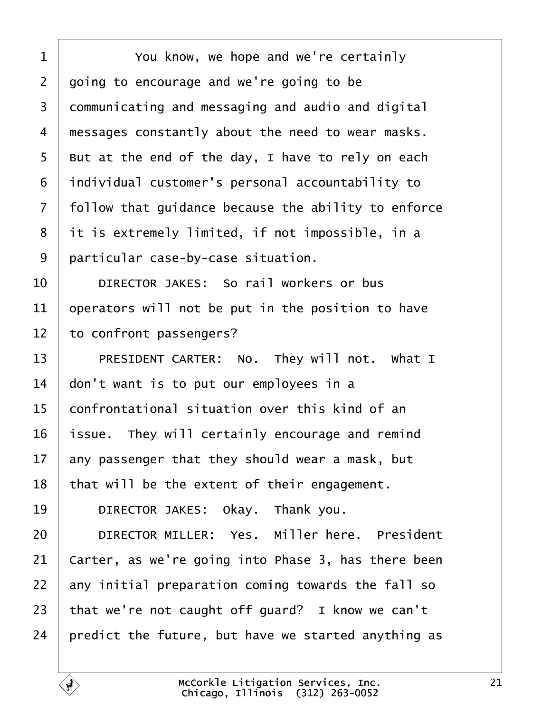<span id="page-20-0"></span>

| 1              | You know, we hope and we're certainly               |
|----------------|-----------------------------------------------------|
| $\overline{2}$ | going to encourage and we're going to be            |
| 3              | dommunicating and messaging and audio and digital   |
| 4              | messages constantly about the need to wear masks.   |
| 5              | But at the end of the day, I have to rely on each   |
| 6              | individual customer's personal accountability to    |
| 7              | follow that guidance because the ability to enforce |
| 8              | it is extremely limited, if not impossible, in a    |
| 9              | particular case-by-case situation.                  |
| 10             | DIRECTOR JAKES: So rail workers or bus              |
| 11             | operators will not be put in the position to have   |
| 12             | to confront passengers?                             |
| 13             | PRESIDENT CARTER: No. They will not. What I         |
| 14             | don't want is to put our employees in a             |
| 15             | confrontational situation over this kind of an      |
| 16             | issue. They will certainly encourage and remind     |
| 17             | any passenger that they should wear a mask, but     |
| 18             | that will be the extent of their engagement.        |
| 19             | DIRECTOR JAKES: Okay. Thank you.                    |
| 20             | DIRECTOR MILLER: Yes. Miller here. President        |
| 21             | Carter, as we're going into Phase 3, has there been |
| 22             | any initial preparation coming towards the fall so  |
| 23             | that we're not caught off guard? I know we can't    |
| 24             | predict the future, but have we started anything as |
|                |                                                     |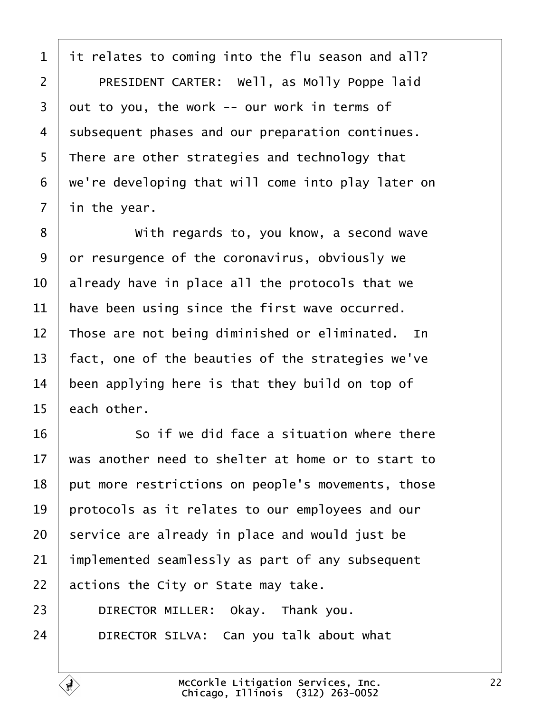<span id="page-21-0"></span>1 it relates to coming into the flu season and all? 2 | PRESIDENT CARTER: Well, as Molly Poppe laid 3 dut to you, the work -- our work in terms of 4 subsequent phases and our preparation continues. 5 There are other strategies and technology that ·6· ·we're developing that will come into play later on 7 in the year. 8 **With regards to, you know, a second wave** 9 or resurgence of the coronavirus, obviously we 10 already have in place all the protocols that we 11 have been using since the first wave occurred. 12 Those are not being diminished or eliminated. In 13 fact, one of the beauties of the strategies we've 14 been applying here is that they build on top of 15 each other.  $16$   $\blacksquare$  So if we did face a situation where there 17 was another need to shelter at home or to start to 18 put more restrictions on people's movements, those 19 protocols as it relates to our employees and our 20 service are already in place and would just be 21 implemented seamlessly as part of any subsequent 22 actions the City or State may take. 23 | DIRECTOR MILLER: Okay. Thank you.

 $24$  | DIRECTOR SILVA: Can you talk about what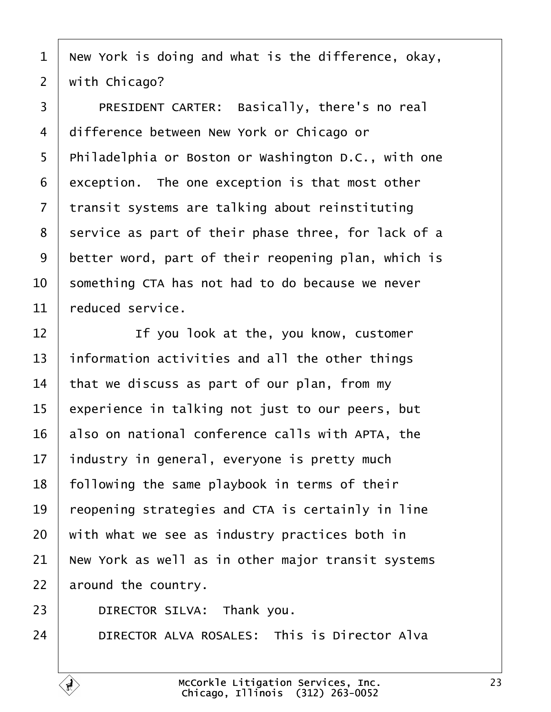- <span id="page-22-0"></span>1 New York is doing and what is the difference, okay,
- 2 with Chicago?
- 3 | PRESIDENT CARTER: Basically, there's no real
- 4 difference between New York or Chicago or
- 5 Philadelphia or Boston or Washington D.C., with one
- 6 exception. The one exception is that most other
- 7 transit systems are talking about reinstituting
- 8 service as part of their phase three, for lack of a
- 9 better word, part of their reopening plan, which is
- 10 something CTA has not had to do because we never
- 11 reduced service.
- $12$  | If you look at the, you know, customer
- 13 information activities and all the other things
- 14 that we discuss as part of our plan, from my
- 15 experience in talking not just to our peers, but
- 16 also on national conference calls with APTA, the
- 17 industry in general, everyone is pretty much
- 18 following the same playbook in terms of their
- 19 reopening strategies and CTA is certainly in line
- 20 with what we see as industry practices both in
- 21 New York as well as in other major transit systems
- 22 around the country.
- 23 | DIRECTOR SILVA: Thank you.
- 24 **DIRECTOR ALVA ROSALES: This is Director Alva**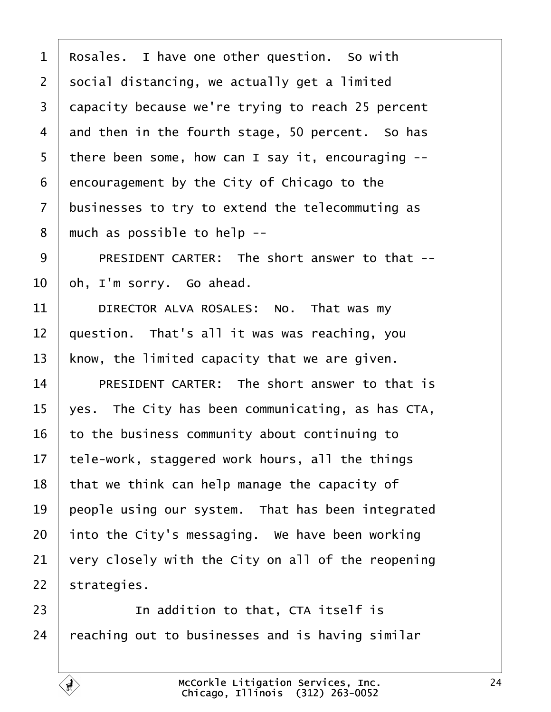<span id="page-23-0"></span>

| 1               | Rosales. I have one other question. So with        |
|-----------------|----------------------------------------------------|
| $\overline{2}$  | social distancing, we actually get a limited       |
| 3               | dapacity because we're trying to reach 25 percent  |
| 4               | and then in the fourth stage, 50 percent. So has   |
| 5               | there been some, how can I say it, encouraging --  |
| 6               | encouragement by the City of Chicago to the        |
| $\overline{7}$  | businesses to try to extend the telecommuting as   |
| 8               | much as possible to help --                        |
| 9               | PRESIDENT CARTER: The short answer to that --      |
| 10              | oh, I'm sorry. Go ahead.                           |
| 11              | DIRECTOR ALVA ROSALES: No. That was my             |
| 12              | question. That's all it was was reaching, you      |
| 13              | know, the limited capacity that we are given.      |
| 14              | PRESIDENT CARTER: The short answer to that is      |
| 15              | yes. The City has been communicating, as has CTA,  |
| 16              | to the business community about continuing to      |
| 17 <sub>1</sub> | tele-work, staggered work hours, all the things    |
| 18              | that we think can help manage the capacity of      |
| 19              | people using our system. That has been integrated  |
| 20              | into the City's messaging. We have been working    |
| 21              | very closely with the City on all of the reopening |
| 22              | strategies.                                        |
| 23              | In addition to that, CTA itself is                 |
| 24              | reaching out to businesses and is having similar   |
|                 |                                                    |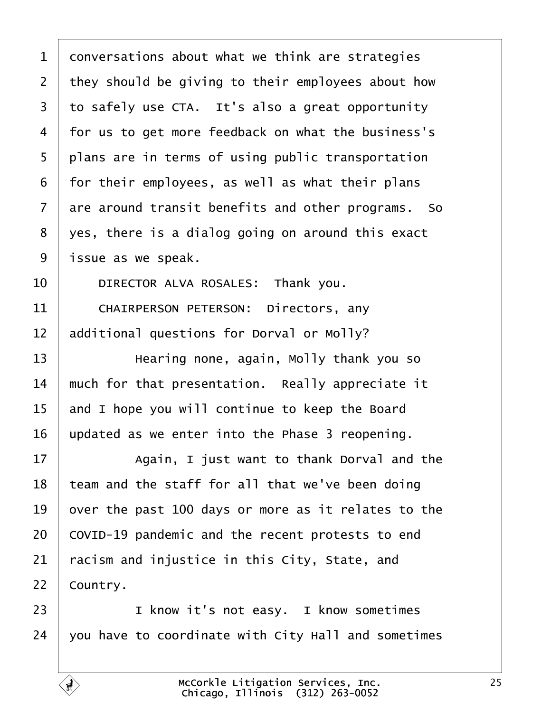<span id="page-24-0"></span>

| 1  | donversations about what we think are strategies    |
|----|-----------------------------------------------------|
| 2  | they should be giving to their employees about how  |
| 3  | to safely use CTA. It's also a great opportunity    |
| 4  | for us to get more feedback on what the business's  |
| 5  | plans are in terms of using public transportation   |
| 6  | for their employees, as well as what their plans    |
| 7  | are around transit benefits and other programs. So  |
| 8  | yes, there is a dialog going on around this exact   |
| 9  | issue as we speak.                                  |
| 10 | DIRECTOR ALVA ROSALES: Thank you.                   |
| 11 | <b>CHAIRPERSON PETERSON: Directors, any</b>         |
| 12 | additional questions for Dorval or Molly?           |
| 13 | Hearing none, again, Molly thank you so             |
| 14 | much for that presentation. Really appreciate it    |
| 15 | and I hope you will continue to keep the Board      |
| 16 | updated as we enter into the Phase 3 reopening.     |
| 17 | Again, I just want to thank Dorval and the          |
| 18 | team and the staff for all that we've been doing    |
| 19 | over the past 100 days or more as it relates to the |
| 20 | COVID-19 pandemic and the recent protests to end    |
| 21 | acism and injustice in this City, State, and        |
| 22 | Country.                                            |
| 23 | I know it's not easy. I know sometimes              |
| 24 | you have to coordinate with City Hall and sometimes |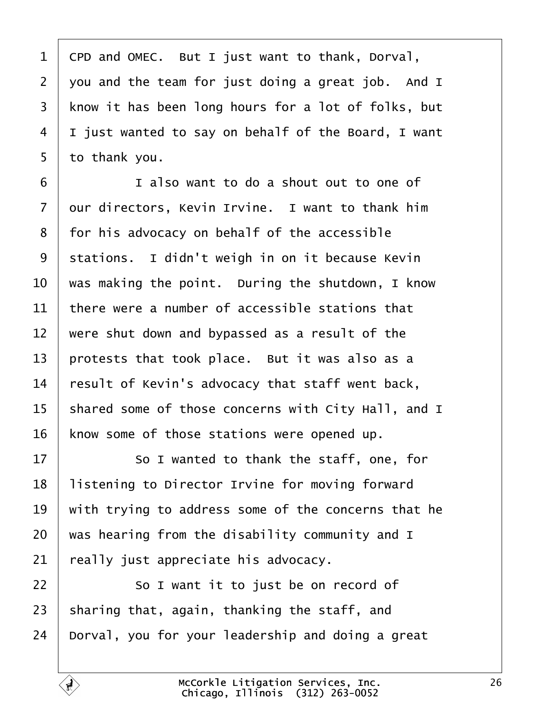<span id="page-25-0"></span>

| $\mathbf 1$    | CPD and OMEC. But I just want to thank, Dorval,     |
|----------------|-----------------------------------------------------|
| $\overline{2}$ | you and the team for just doing a great job. And I  |
| 3              | know it has been long hours for a lot of folks, but |
| 4              | I just wanted to say on behalf of the Board, I want |
| 5              | to thank you.                                       |
| 6              | I also want to do a shout out to one of             |
| 7              | dur directors, Kevin Irvine. I want to thank him    |
| 8              | for his advocacy on behalf of the accessible        |
| 9              | stations. I didn't weigh in on it because Kevin     |
| 10             | was making the point. During the shutdown, I know   |
| 11             | there were a number of accessible stations that     |
| 12             | were shut down and bypassed as a result of the      |
| 13             | protests that took place. But it was also as a      |
| 14             | result of Kevin's advocacy that staff went back,    |
| 15             | shared some of those concerns with City Hall, and I |
| 16             | know some of those stations were opened up.         |
| 17             | So I wanted to thank the staff, one, for            |
| 18             | listening to Director Irvine for moving forward     |
| 19             | with trying to address some of the concerns that he |
| 20             | was hearing from the disability community and I     |
| 21             | really just appreciate his advocacy.                |
| 22             | So I want it to just be on record of                |
| 23             | sharing that, again, thanking the staff, and        |
| 24             | Dorval, you for your leadership and doing a great   |
|                |                                                     |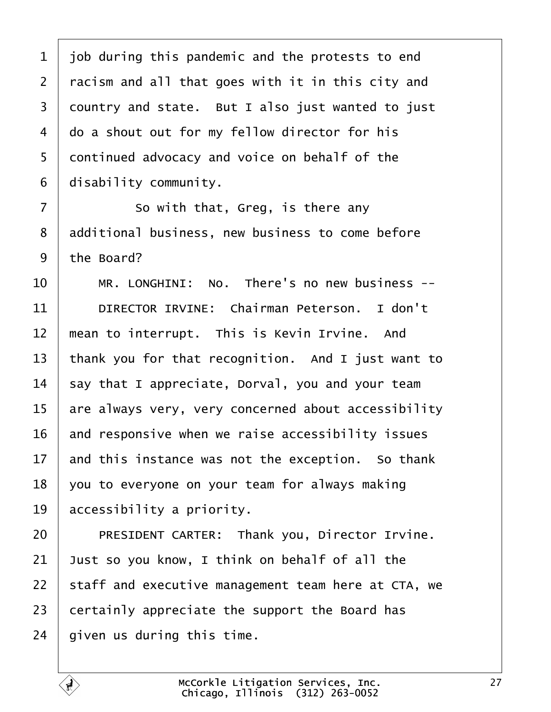<span id="page-26-0"></span>1 job during this pandemic and the protests to end 2 racism and all that goes with it in this city and 3 dountry and state. But I also just wanted to just 4 do a shout out for my fellow director for his 5 dontinued advocacy and voice on behalf of the 6 disability community.  $7 \mid$  So with that, Greg, is there any 8 ddditional business, new business to come before 9 the Board? 10 | MR. LONGHINI: No. There's no new business --11 | DIRECTOR IRVINE: Chairman Peterson. I don't 12 mean to interrupt. This is Kevin Irvine. And 13 thank you for that recognition. And I just want to 14 say that I appreciate, Dorval, you and your team 15 are always very, very concerned about accessibility 16 and responsive when we raise accessibility issues 17 and this instance was not the exception. So thank 18  $\sqrt{v}$  you to everyone on your team for always making 19 accessibility a priority. 20 | PRESIDENT CARTER: Thank you, Director Irvine. 21  $\sqrt{2}$  Just so you know, I think on behalf of all the 22 staff and executive management team here at CTA, we 23 certainly appreciate the support the Board has 24 given us during this time.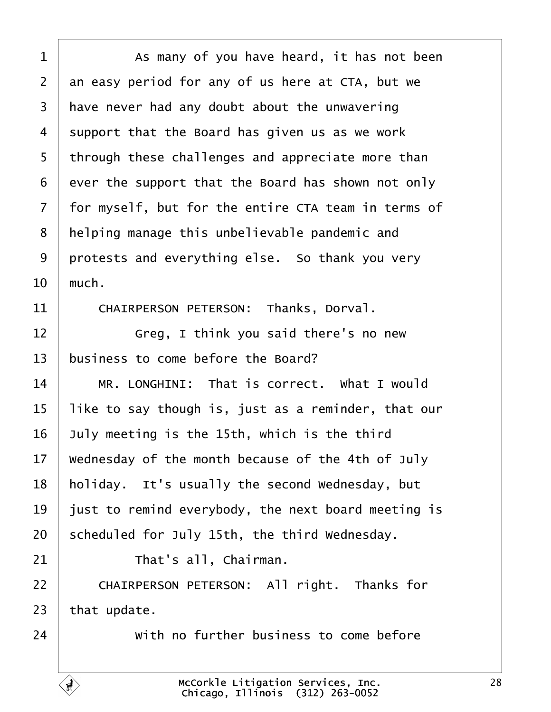<span id="page-27-0"></span>

| 1              | As many of you have heard, it has not been          |
|----------------|-----------------------------------------------------|
| $\overline{2}$ | an easy period for any of us here at CTA, but we    |
| 3              | have never had any doubt about the unwavering       |
| 4              | support that the Board has given us as we work      |
| 5              | through these challenges and appreciate more than   |
| 6              | ever the support that the Board has shown not only  |
| $\overline{7}$ | for myself, but for the entire CTA team in terms of |
| 8              | helping manage this unbelievable pandemic and       |
| 9              | protests and everything else. So thank you very     |
| 10             | much.                                               |
| 11             | CHAIRPERSON PETERSON: Thanks, Dorval.               |
| 12             | Greg, I think you said there's no new               |
| 13             | business to come before the Board?                  |
| 14             | MR. LONGHINI: That is correct. What I would         |
| 15             | like to say though is, just as a reminder, that our |
| 16             | July meeting is the 15th, which is the third        |
| 17             | Wednesday of the month because of the 4th of July   |
| 18             | holiday. It's usually the second Wednesday, but     |
| 19             | just to remind everybody, the next board meeting is |
| 20             | scheduled for July 15th, the third Wednesday.       |
| 21             | That's all, Chairman.                               |
| 22             | CHAIRPERSON PETERSON: All right. Thanks for         |
| 23             | that update.                                        |
| 24             | With no further business to come before             |
|                |                                                     |

 $\overline{1}$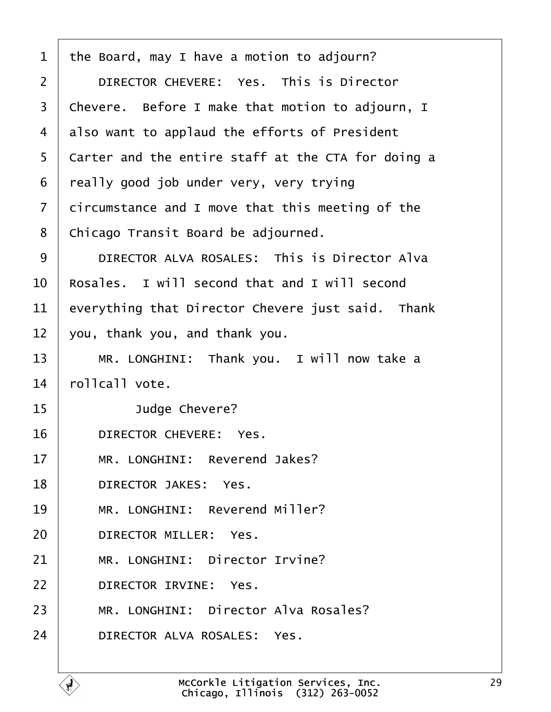<span id="page-28-0"></span>

| 1              | the Board, may I have a motion to adjourn?         |
|----------------|----------------------------------------------------|
| $\overline{2}$ | DIRECTOR CHEVERE: Yes. This is Director            |
| 3              | Chevere. Before I make that motion to adjourn, I   |
| 4              | also want to applaud the efforts of President      |
| 5              | Carter and the entire staff at the CTA for doing a |
| 6              | really good job under very, very trying            |
| $\overline{7}$ | dircumstance and I move that this meeting of the   |
| 8              | Chicago Transit Board be adjourned.                |
| 9              | DIRECTOR ALVA ROSALES: This is Director Alva       |
| 10             | Rosales. I will second that and I will second      |
| 11             | everything that Director Chevere just said. Thank  |
| 12             | you, thank you, and thank you.                     |
| 13             | MR. LONGHINI: Thank you. I will now take a         |
| 14             | rollcall vote.                                     |
| 15             | Judge Chevere?                                     |
| 16             | DIRECTOR CHEVERE: Yes.                             |
| 17             | MR. LONGHINI: Reverend Jakes?                      |
| 18             | <b>DIRECTOR JAKES: Yes.</b>                        |
| 19             | MR. LONGHINI: Reverend Miller?                     |
| 20             | <b>DIRECTOR MILLER: Yes.</b>                       |
| 21             | MR. LONGHINI: Director Irvine?                     |
| 22             | DIRECTOR IRVINE: Yes.                              |
| 23             | MR. LONGHINI: Director Alva Rosales?               |
| 24             | DIRECTOR ALVA ROSALES: Yes.                        |

 $\overline{1}$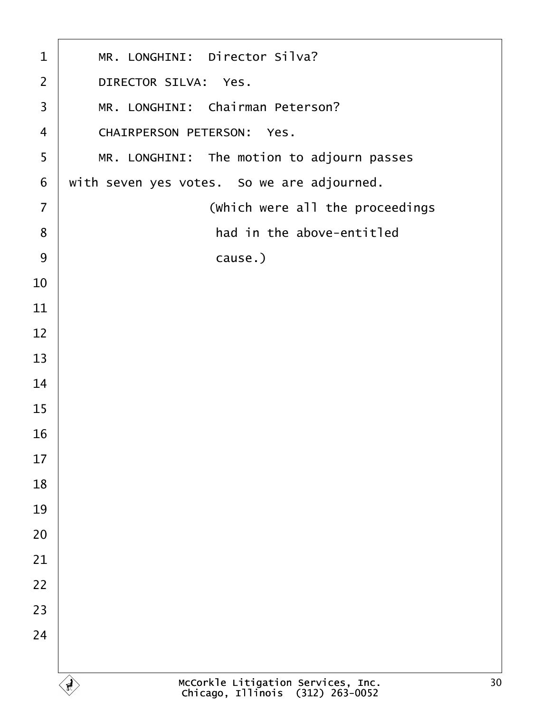| $\mathbf 1$    | MR. LONGHINI: Director Silva?              |
|----------------|--------------------------------------------|
| $\overline{2}$ | DIRECTOR SILVA: Yes.                       |
| $\mathfrak{S}$ | MR. LONGHINI: Chairman Peterson?           |
| $\overline{4}$ | <b>CHAIRPERSON PETERSON: Yes.</b>          |
| 5              | MR. LONGHINI: The motion to adjourn passes |
| $\,6$          | with seven yes votes. So we are adjourned. |
| $\overline{7}$ | (Which were all the proceedings            |
| 8              | had in the above-entitled                  |
| 9              | cause.)                                    |
| 10             |                                            |
| 11             |                                            |
| 12             |                                            |
| 13             |                                            |
| 14             |                                            |
| 15             |                                            |
| 16             |                                            |
| 17             |                                            |
| 18             |                                            |
| 19             |                                            |
| 20             |                                            |
| 21             |                                            |
| 22             |                                            |
| 23             |                                            |
| 24             |                                            |
|                |                                            |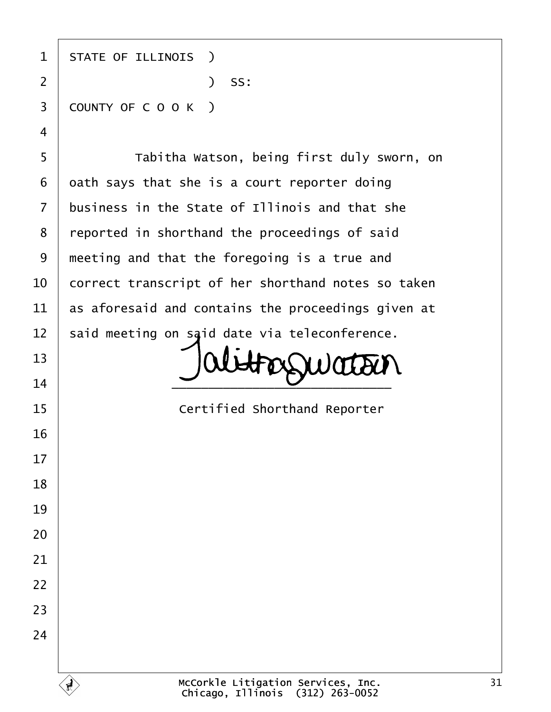| 1              | <b>STATE OF ILLINOIS</b> )                         |
|----------------|----------------------------------------------------|
| $\overline{2}$ | ) SS:                                              |
| 3              | COUNTY OF COOK)                                    |
| 4              |                                                    |
| 5              | Tabitha Watson, being first duly sworn, on         |
| 6              | dath says that she is a court reporter doing       |
| $\overline{7}$ | business in the State of Illinois and that she     |
| 8              | reported in shorthand the proceedings of said      |
| 9              | meeting and that the foregoing is a true and       |
| 10             | correct transcript of her shorthand notes so taken |
| 11             | as aforesaid and contains the proceedings given at |
| 12             | said meeting on said date via teleconference.      |
| 13             |                                                    |
| 14             |                                                    |
| 15             | <b>Certified Shorthand Reporter</b>                |
| 16             |                                                    |
| 17             |                                                    |
| 18             |                                                    |
| 19             |                                                    |
| 20             |                                                    |
| 21             |                                                    |
| 22             |                                                    |
| 23             |                                                    |
| 24             |                                                    |
|                |                                                    |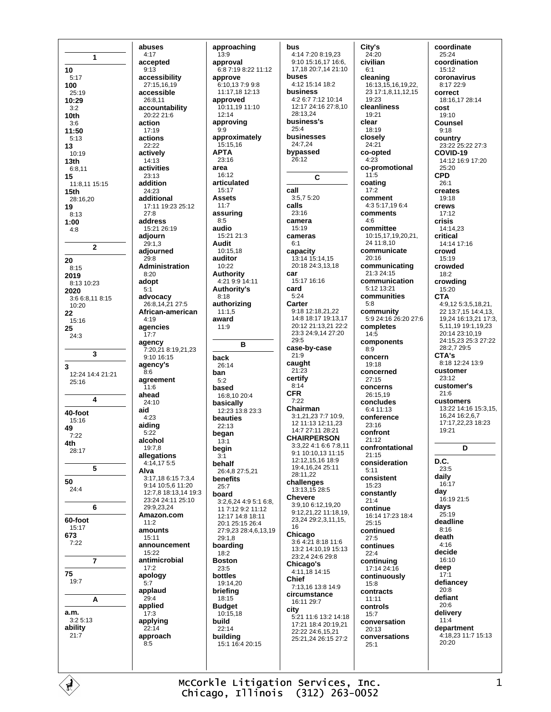1 10  $5.17$ 100  $25.19$ 10:29  $3.2$ 10th  $3:6$ 11:50  $5.13$ 13  $10.10$  $13<sub>th</sub>$  $6:8.11$ 15  $11.81115.15$  $15<sub>th</sub>$ 28:16,20 19  $8:13$  $1:00$  $4:8$  $\overline{2}$ 20  $8:15$ 2019 8:13 10:23 2020 3:6 6:8,11 8:15 10:20 22 15:16 25  $24:3$  $\overline{3}$ 3 12:24 14:4 21:21 25:16  $\overline{\mathbf{A}}$ 40-foot 15:16 49  $7:22$ 4th 28:17 5 50  $24:4$ 6 60-foot  $15:17$ 673  $7:22$  $\overline{7}$ 75  $19:7$ A a.m.  $3:25:13$ ability  $21:7$ 

abuses  $4:17$ accepted  $9.13$ accessibility 27:15.16.19 accessible 26:8,11 accountability  $20.22216$ action 17:19 actions 22:22 actively 14:13 activities 23:13 addition 24:23 additional 17:11 19:23 25:12  $27:8$ address 15:21 26:19 adjourn  $29:1.3$ adiourned 29:8 Administration  $8:20$ adopt  $5:1$ advocacy 26:8,14,21 27:5 African-american  $4.19$ agencies  $17:7$ agency 7:20.21 8:19.21.23  $9.1016.15$ agency's  $R \cdot G$ agreement  $11:6$ ahead  $24.10$ aid  $4:23$ aiding  $5:22$ alcohol 19:7,8 allegations 4:14,17 5:5 Alva  $3.17$  18 6.15 7.3 4  $9.1410.5611.20$ 12:7 8 18:13 14 19:3 23:24 24:11 25:10 29:9.23.24 Amazon.com  $11.2$ amounts  $15.11$ announcement  $15:22$ antimicrobial  $17:2$ apology  $5:7$ applaud  $29:4$ applied  $17.3$ applying  $22:14$ approach  $8:5$ 

approaching  $13:9$ approval  $6.87.198.2211.12$ annrove  $6:10.137:99:8$ 11:17,18 12:13 approved 10:11,19 11:10  $12:14$ approving  $9:9$ approximately 15:15,16 **APTA** 23:16 area  $16:12$ articulated 15:17 **Assets**  $11.7$ assuring  $8:5$ audio 15:21 21:3 **Audit** 10:15,18 auditor  $10.22$ Authority 4:21 9:9 14:11 Authority's  $8:18$ authorizing  $11:1.5$ award  $11.9$ R hack 26:14 ban  $5:2$ based 16:8,10 20:4 basically 12:23 13:8 23:3 beauties  $22.13$ began  $13:1$ begin  $3:1$ behalf 26:4,8 27:5,21 benefits  $25:7$ board 3:2,6,24 4:9 5:1 6:8,  $117:129:211:12$ 12.17 14.8 18.11 20:1 25:15 26:4 27:9,23 28:4,6,13,19  $29.18$ boarding  $18:2$ **Boston**  $23.5$ bottles 19:14,20 briefing 18:15 **Budget**  $10:15,18$ build  $22:14$ buildina 15:1 16:4 20:15

bus 4:14 7:20 8:19,23 9:10 15:16.17 16:6. 17,18 20:7,14 21:10 buses  $4.12$  15.14 18.2 business 4:2 6:7 7:12 10:14 12:17 24:16 27:8,10 28:13,24 business's  $25.4$ husinesses 24:7.24 bypassed  $26:12$ C. call  $3:575.20$ calls  $23.16$ camera 15:19 cameras  $6.1$ capacity 13:14 15:14,15 20:18 24:3,13,18 car  $15:17$  16:16 card  $5:24$ Carter 9:18 12:18,21,22 14:8 18:17 19:13,17 20:12 21:13.21 22:2 23:3 24:9.14 27:20  $29.5$ case-by-case  $21:9$ caught  $21:23$ certify  $8.14$ **CFR**  $7:22$ Chairman 3:1,21,23 7:7 10:9, 12 11:13 12:11 23 14.7 27.11 28.21 **CHAIRPERSON** 3:3.22 4:1 6:6 7:8.11 9:1 10:10,13 11:15 12:12,15,16 18:9 19:4,16,24 25:11 28:11.22 challenges  $13.13.15.28.5$ **Chevere** 3:9,10 6:12,19.20 9:12,21,22 11:18,19, 23,24 29:2,3,11,15, 16 Chicago 3:6 4:21 8:18 11:6 13:2 14:10 19 15:13 23:2.4 24:6 29:8 Chicago's 4:11,18 14:15 Chief 7:13,16 13:8 14:9 circumstance 16:11.29:7 city 5:21 11:6 13:2 14:18 17:21 18:4 20:19,21 22:22 24:6,15,21 25:21,24 26:15 27:2

City's  $24:20$ civilian  $6.1$ cleaning 16:13, 15, 16, 19, 22, 23 17:1,8,11,12,15  $19.23$ cleanliness  $19.21$ clear 18:19 closely 24:21 co-opted  $4:23$ co-promotional  $11:5$ coating  $17:2$ comment  $4:3.5:17.19.6.4$ comments  $4:6$ committee 10:15.17.19.20.21. 24 11 8 10 communicate  $20.16$ communicating 21:3 24:15 communication  $5.12$  13.21 communities  $5:8$ community 5:9 24:16 26:20 27:6 completes  $14:5$ components  $8.9$ concern  $19.18$ concerned  $27.15$ concerns 26:15.19 concludes  $6.411.13$ conference  $23:16$ confront  $21.12$ confrontational 21:15 consideration  $5:11$ consistent  $15.23$ constantly  $21:4$ continue 16:14 17:23 18:4  $25.15$ continued  $27:5$ continues  $22.4$ continuina 17:14 24:16 continuously  $15:8$ contracts  $11:11$ controls  $15.7$ conversation 20:13 conversations  $25.1$ 

coordinate  $25:24$ coordination  $15.12$ coronavirus  $8.17229$ correct 18:16,17 28:14 cost  $19.10$ **Counsel**  $9:18$ country 23:22 25:22 27:3 COVID-19 14:12 16:9 17:20  $25.20$ **CPD**  $26.1$ creates  $19.18$ crews  $17:12$ crisis 14:14,23 critical 14:14 17:16 crowd 15:19 crowded  $18:2$ crowding 15:20 **CTA** 4:9.12 5:3.5.18.21. 22 13:7,15 14:4,13, 19.24 16:13.21 17:3. 5,11,19 19:1,19,23 20:14 23:10.19 24:15,23 25:3 27:22 28.2729.5 CTA's 8:18 12:24 13:9 customer  $23:12$ customer's  $21:6$ customers 13:22 14:16 15:3,15, 16,24 16:2,6,7 17:17,22,23 18:23 19:21 D

D.C.  $23.5$ daily 16:17 dav 16:19 21:5 days  $25:19$ deadline  $8:16$ death  $4.16$ decide 16:10 deep  $17:1$ defiancey  $20:8$ defiant  $20:6$ delivery  $11:4$ department 4:18,23 11:7 15:13 20:20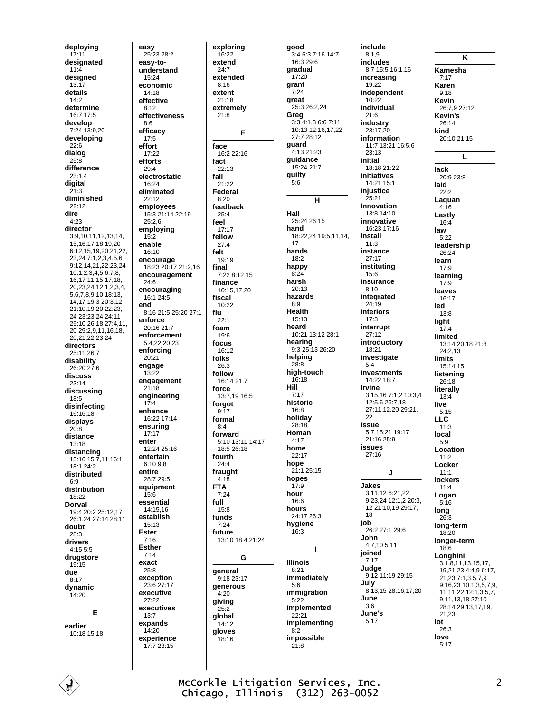deploying  $17:11$ designated  $11.4$ designed  $13:17$ details  $14:2$ determine  $16.717.5$ develop 7:24 13:9,20 developing  $22:6$ dialog  $25:8$ difference  $23:1,4$ digital  $21:3$ diminished  $22.12$ dire  $4:23$ director 3:9,10,11,12,13,14, 15, 16, 17, 18, 19, 20 6:12,15,19,20,21,22, 23,24 7:1,2,3,4,5,6  $9:12,14,21,22,23,24$ 10:1,2,3,4,5,6,7,8, 16, 17 11: 15, 17, 18, 20,23,24 12:1,2,3,4, 5,6,7,8,9,10 18:13, 14,17 19:3 20:3,12 21:10,19,20 22:23, 24 23:23,24 24:11 25:10 26:18 27:4.11. 20 29 2 9 11 16 18 20, 21, 22, 23, 24 directors 25:11 26:7 disability 26:20 27:6 discuss  $23.14$ discussing 18:5 disinfecting  $16.1618$ displays  $20:8$ distance 13:18 distancing 13:16 15:7,11 16:1  $18.124.2$ distributed  $6:9$ distribution 18:22 **Dorval** 19:4 20:2 25:12,17 26:1.24 27:14 28:11 doubt 28:3 drivers  $4.1555$ drugstore 19:15 due  $8:17$ dynamic 14:20 E earlier 10:18 15:18

easy 25:23 28:2 easv-tounderstand 15:24 economic 14:18 effective  $8.12$ effectiveness  $8:6$ efficacv  $17:5$ effort 17:22 efforts 29:4 electrostatic  $16.24$ eliminated  $22:12$ employees 15:3 21:14 22:19  $25.26$ employing  $15.2$ enable 16:10 encourage 18:23 20:17 21:2.16 encouragement 24:6 encouraging  $16:124:5$ **And** 8:16 21:5 25:20 27:1 enforce 20:16 21:7 enforcement  $5.42220.23$ enforcing  $20:21$ engage 13:22 engagement  $21.18$ engineering  $17:4$ enhance 16:22 17:14 ensuring 17:17 enter 12:24 25:16 entertain  $6.1098$ entire 28:7 29:5 equipment  $15:6$ essential  $14.15$  16 establish 15:13 **Ester**  $7.16$ **Esther**  $7:14$ exact 25:8 exception  $23.627.17$ executive 27:22 executives  $13:7$ expands 14:20 experience  $17.723.15$ 

exploring  $16:22$ extend  $24.7$ hebretxe  $8.16$ extent 21:18 extremely  $21.8$ F face 16:2 22:16 fact  $22:13$ fall  $21.22$ Federal  $8:20$ feedback  $25:4$ feel  $17:17$ fellow  $27:4$ felt  $19.19$ final  $7.228.1215$ finance 10:15.17.20 fiscal  $10.22$ flu  $22:1$ foam  $19.6$ focus 16:12 folks 26:3 follow 16:14 21:7 force 13:7,19 16:5 foraot  $9:17$ formal  $8.4$ forward 5:10 13:11 14:17 18:5 26:18 fourth  $24:4$ fraught  $4:18$ **FTA**  $7:24$ full 15:8 funds  $7:24$ future 13:10 18:4 21:24 G general 9:18 23:17 generous  $4:20$ giving  $25.2$ global 14:12 gloves 18:16

qood 3:4 6:3 7:16 14:7 16:3 29:6 gradual  $17:20$ grant  $7:24$ great 25:3 26:2.24 Greg  $3.34.13667.11$ 10:13 12:16,17,22  $27.728.12$ guard 4:13 21:23 guidance  $15.2421.7$ guilty 5:6  $H$ Hall 25:24.26:15 hand 18:22,24 19:5,11,14, 17 hands  $18:2$ happy<br> $8:24$ harsh  $20:13$ hazards  $8:9$ **Health**  $15:13$ heard 10:21 13:12 28:1 hearing 9:3 25:13 26:20 helping  $28.8$ high-touch  $16:18$ **Hill**  $7.17$ historic  $16:8$ holiday  $28:18$ Homan  $4:17$ home  $22:17$ hone 21:1 25:15 hopes  $17:9$ hour 16:6 hours  $24.1726:3$ hygiene  $6:3$ I. **Illinois**  $8:21$ immediately  $5.6$ immigration  $5:22$ implemented  $22:21$ implementing  $8:2$ impossible  $21.8$ 

include  $8:1.9$ includes 8:7 15:5 16:1.16 increasing  $19.22$ independent  $10:22$ individual  $21.6$ industry 23:17,20 information 11:7 13:21 16:5,6  $23.13$ initial  $18:18.21.22$ initiatives 14:21 15:1 injustice  $25.21$ Innovation 13:8 14:10 innovative 16:23 17:16 install  $11:3$ instance  $27:17$ institutina  $15:6$ insurance  $8:10$ integrated  $24:19$ **interiors**  $17:3$ interrupt 27:12 introductory  $18.21$ investigate  $5:4$ investments  $14.2218.7$ **Irvine** 3:15.16 7:1.2 10:3.4  $12.5626.718$ 27:11.12.20 29:21.  $22$ issue 5:7 15:21 19:17  $21:1625:9$ **issues**  $27:16$ J **Jakes** 3:11,12 6:21,22 9:23,24 12:1,2 20:3, 12 21:10,19 29:17, 18 job 26:2 27:1 29:6 John 4:7,10 5:11 joined  $7:17$ Judae 9:12 11:19 29:15 July 8:13.15 28:16.17.20 June  $3:6$ June's  $5:17$ 

K Kamesha  $7:17$ Karen  $9.18$ Kevin 26:7,9 27:12 Kevin's  $26:14$ kind  $20:10.21:15$ L lack  $20.923.8$ laid  $22:2$ Laguan  $4.16$ Lastly  $16:4$ law  $5:22$ leadership 26:24 learn  $17:9$ learning  $17:9$ leaves 16:17 led  $13:8$ light  $17.4$ limited 13:14 20:18 21:8 24:2,13 **limits** 15:14.15 listening 26:18 literally  $13:4$ live  $5.15$ **LLC**  $11:3$ local  $5:9$ Location  $11.2$ Locker  $11:1$ **lockers**  $11:4$ Logan  $5:16$  $long  
26:3$ long-term  $18.20$ longer-term  $18.6$ Lonahini  $3:1,8,11,13,15,17.$ 19,21,23 4:4,9 6:17, 21 23 7:1 3 5 7 9 9:16.23 10:1.3.5.7.9. 11 11:22 12:1.3.5.7. 9,11,13,18 27:10 28:14 29:13.17.19. 21.23 lot 26:3 love  $5:17$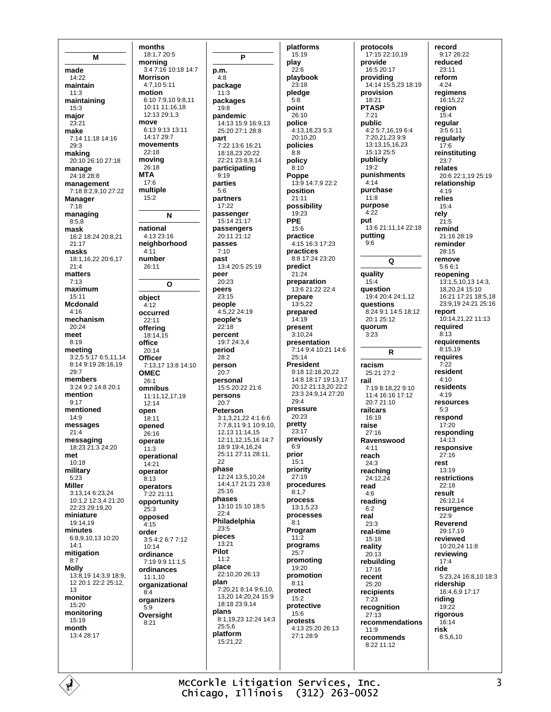M made 14:22 maintain  $11.3$ maintaining  $15:3$ major  $23:21$ make 7:14 11:18 14:16  $29:3$ making 20:10 26:10 27:18 manage 24:18 28:8 management 7:18 8:2,9,10 27:22 Manager  $7:18$ managing  $8.5.8$ mask 16:2 18:24 20:8,21  $21.17$ masks 18:1,16,22 20:6,17  $21:4$ matters  $7.13$ maximum  $15:11$ **Mcdonald**  $4.16$ mechanism  $20.24$ meet  $8:19$ meeting  $3:2.55:176:5.11.14$ 8:14 9:19 28:16 19  $29.7$ members 3:24 9:2 14:8 20:1 mention  $9.17$ mentioned  $14:9$ messages  $21:4$ messaging  $18.23\overline{21.3.24.20}$ met  $10.18$ military  $5.23$ **Miller** 3:13,14 6:23,24 10:1,2 12:3,4 21:20  $22.2329.1920$ miniature  $19:1419$ minutes 6:8,9,10,13 10:20  $14:1$ mitigation  $8:7$ **Molly**  $13.8191439189$ 12 20:1 22:2 25:12, 13 monitor 15:20 monitoring  $15:19$ month 13:4 28:17

months 18:1,7 20:5 mornina 3:4 7:16 10:18 14:7 **Morrison**  $4.7105.11$ motion 6:10 7:9,10 9:8,11  $10.11111.1618$ 12:13 29:1,3 move 6:13 9:13 13:11  $14.1729.7$ movements  $22.18$ moving  $26.18$ **MTA**  $17:6$ multiple  $15:2$ N national  $4.1323.16$ neighborhood  $4:11$ number 26:11  $\mathbf{o}$ object  $4.12$ occurred  $22:11$ offering 18:14.15 office  $20.14$ **Officer** 7:13,17 13:8 14:10 OMFC  $26.1$ omnibus 11:11,12,17,19  $12:14$ open  $18.11$ opened .<br>26∙16 operate  $11.3$ operational  $14.21$ operator  $8:13$ operators 7:22 21:11 opportunity  $25.3$ opposed  $4:15$ order 3:5 4:2 6:7 7:12  $10:14$ ordinance 7:19 9:9 11:1,5 ordinances  $11:1,10$ organizational  $8-4$ organizers  $5:9$ Oversight  $8.21$ 

P p.m.  $4.8$ package  $11.3$ packages  $19.8$ pandemic 14:13 15:9 16:9,13 25:20 27:1 28:8 part 7:22 13:6 16:21 18:18 23 20:22 22:21 23:8 9 14 participating  $9:19$ parties  $5:6$ partners 17:22 passenger 15:14 21:17 passengers 20:11 21:12 passes  $7:10$ past 13:4 20:5 25:19 peer  $20.23$ peers  $23:15$ people  $4.52224.19$ people's  $22.18$ percent 19:7 24:3,4 period  $28.2$ person  $20:7$ personal 15:5 20:22 21:6 persons  $20:7$ Peterson 3:1,3,21,22 4:1 6:6 7:7,8,11 9:1 10:9,10, 12.13 11:14.15 12:11.12.15.16 14:7 18:9 19:4.16.24 25:11 27:11 28:11 22 phase 12:24 13:5.10.24 14:4,17 21:21 23:8  $25:16$ phases 13:10 15:10 18:5  $22.4$ Philadelphia 23:5 pieces 13:21 Pilot  $11:2$ place 22:10,20 26:13 plan 7:20.21 8:14 9:6.10. 13.20 14:20.24 15:9  $18.1823914$ plans 8:1,19,23 12:24 14:3 25:5,6 platform  $15:21.22$ 

platforms  $15:19$ play  $22.6$ playbook  $23.18$ pledge  $5:8$ point  $26:10$ police 4:13,18,23 5:3 20:10,20 policies  $8.8$ policy  $8.10$ Poppe 13:9 14:7,9 22:2 position  $21.11$ possibility 19:23 **PPE**  $15.6$ practice 4:15 16:3 17:23 practices 8:8 17:24 23:20 predict  $21:24$ preparation 13:6 21:22 22:4 prepare 13:5.22 prepared  $14.19$ present  $3:10.24$ presentation 7:14 9:4 10:21 14:6  $25.14$ **President** 9:18 12:18,20,22 14:8 18:17 19:13,17 20:12 21:13,20 22:2 23:3 24:9,14 27:20  $29.4$ pressure  $20.23$ pretty  $23:17$ previously  $6:9$ prior  $15.1$ priority  $27:19$ procedures  $8:1.7$ process 13:1,5,23 processes  $R-1$ Program  $11.2$ programs  $25:7$ promoting 19:20 promotion  $8.11$ protect  $15:2$ protective  $15.6$ protests 4:13 25:20 26:13 27:1 28:9

protocols 17:15 22:10,19 provide  $16:520:17$ providing 14:14 15:5,23 18:19 provision 18:21 **PTASP**  $7.21$ public 4:2 5:7,16,19 6:4 7:20,21,23 9:9 13:13,15,16,23  $15.13.25.5$ publicly  $19.2$ punishments  $4.14$ purchase  $11:8$ purpose  $4.22$ put 13:6 21:11,14 22:18 putting  $9.6$ Q quality  $15.4$ **auestion** 19:4 20:4 24:1,12 **auestions** 8:24 9:1 14:5 18:12  $20.125.12$ quorum  $3.23$  $\overline{R}$ racism 25:21 27:2 rail 7:19 8:18 22 9:10 11:4 16:16 17:12  $20.721.10$ railcars 16:19 raise  $27:16$ Ravenswood  $4.11$ reach  $24.3$ reaching 24:12.24 read  $4.6$ reading  $6:2$ real  $23.3$ real-time 15:18 reality  $20.13$ rebuilding 17:16 recent 25:20 recipients  $7:23$ recognition  $27:13$ recommendations  $11:9$ recommends  $8.2211.12$ 

record 9:17 26:22 reduced  $23.11$ reform  $4.24$ regimens 16:15,22 reaion  $15.4$ regular 3:5 6:11 regularly  $17:6$ reinstituting  $23:7$ relates 20:6 22:1.19 25:19 relationship  $4:19$ relies  $15:4$ rely  $21:5$ remind  $21.1628.19$ reminder 28:15 remove  $5.661$ reopening 13:1,5,10,13 14:3. 18,20,24 15:10 16:21 17:21 18:5,18 23:9,19 24:21 25:16 report 10:14.21.22 11:13 required  $8:13$ requirements  $8:15,19$ requires  $7.22$ resident  $4.10$ residents  $4:19$ resources  $5.3$ respond  $17:20$ respondina  $14.13$ responsive  $27:16$ rest 13:19 restrictions  $22.18$ result 26:12.14 resurgence  $22:9$ Reverend  $29.1719$ reviewed 10:20,24 11:8 reviewing  $17.4$ ride 5:23.24 16:8.10 18:3 ridership 16:4,6,9 17:17 riding  $19.22$ rigorous  $16:14$ risk  $8:5.6.10$